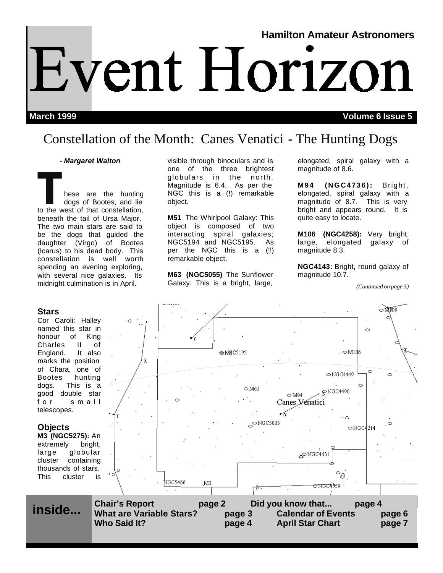# **Hamilton Amateur Astronomers** Event Horizon

**March 1999 Volume 6 Issue 5**

## Constellation of the Month: Canes Venatici - The Hunting Dogs

#### *- Margaret Walton*

THE TRIM THE STRIM THE STRIM THE STRIM THE STRIM THE STRIM THE STRIM THE STRIM THE STRIM THE STRIM THE STRIM THE STRIM THE STRIM THE STRIM THE STRIM THE STRIM THE STRIM THE STRIM THE STRIM THE STRIM THE STRIM THE STRIM THE dogs of Bootes, and lie beneath the tail of Ursa Major. The two main stars are said to be the dogs that guided the daughter (Virgo) of Bootes (Icarus) to his dead body. This constellation is well worth spending an evening exploring, with several nice galaxies. Its midnight culmination is in April.

#### **Stars**

Cor Caroli: Halley named this star in honour of King Charles II of England. It also marks the position of Chara, one of Bootes hunting dogs. This is a good double star for small telescopes.

#### **Objects**

**M3 (NGC5275):** An extremely bright, large globular cluster containing thousands of stars. This cluster is visible through binoculars and is one of the three brightest globulars in the north. Magnitude is 6.4. As per the NGC this is a (!) remarkable object.

**M51** The Whirlpool Galaxy: This object is composed of two interacting spiral galaxies; NGC5194 and NGC5195. As per the NGC this is a (!!) remarkable object.

**M63 (NGC5055)** The Sunflower Galaxy: This is a bright, large,

elongated, spiral galaxy with a magnitude of 8.6.

**M94 (NGC4736):** Bright, elongated, spiral galaxy with a magnitude of 8.7. This is very bright and appears round. It is quite easy to locate.

**M106 (NGC4258):** Very bright, large, elongated galaxy of magnitude 8.3.

**NGC4143:** Bright, round galaxy of magnitude 10.7.

*(Continued on page 3)*

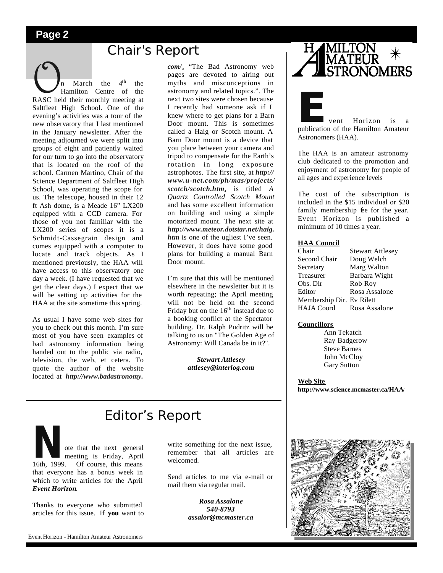## **Chair's Report**

**On** March the 4<sup>th</sup> the Hamilton Centre of the RASC held their monthly meeting at  $4<sup>th</sup>$  the Hamilton Centre of the Saltfleet High School. One of the evening's activities was a tour of the new observatory that I last mentioned in the January newsletter. After the meeting adjourned we were split into groups of eight and patiently waited for our turn to go into the observatory that is located on the roof of the school. Carmen Martino, Chair of the Science Department of Saltfleet High School, was operating the scope for us. The telescope, housed in their 12 ft Ash dome, is a Meade 16" LX200 equipped with a CCD camera. For those of you not familiar with the LX200 series of scopes it is a Schmidt-Cassegrain design and comes equipped with a computer to locate and track objects. As I mentioned previously, the HAA will have access to this observatory one day a week. (I have requested that we get the clear days.) I expect that we will be setting up activities for the HAA at the site sometime this spring.

As usual I have some web sites for you to check out this month. I'm sure most of you have seen examples of bad astronomy information being handed out to the public via radio, television, the web, et cetera. To quote the author of the website located at *http://www.badastronomy.*

*com/*, "The Bad Astronomy web pages are devoted to airing out myths and misconceptions in astronomy and related topics.". The next two sites were chosen because I recently had someone ask if I knew where to get plans for a Barn Door mount. This is sometimes called a Haig or Scotch mount. A Barn Door mount is a device that you place between your camera and tripod to compensate for the Earth's rotation in long exposure astrophotos. The first site, at *http:// www.u-net.com/ph/mas/projects/ scotch/scotch.htm*, is titled *A Quartz Controlled Scotch Mount* and has some excellent information on building and using a simple motorized mount. The next site at *http://www.meteor.dotstar.net/haig. htm* is one of the ugliest I've seen. However, it does have some good plans for building a manual Barn Door mount.

I'm sure that this will be mentioned elsewhere in the newsletter but it is worth repeating; the April meeting will not be held on the second Friday but on the  $16<sup>th</sup>$  instead due to a booking conflict at the Spectator building. Dr. Ralph Pudritz will be talking to us on "The Golden Age of Astronomy: Will Canada be in it?".

> *Stewart Attlesey attlesey@interlog.com*



**External Structure 1.5 Feb**<br>
publication of the Hamilton Amateur Astronomers (HAA).

The HAA is an amateur astronomy club dedicated to the promotion and enjoyment of astronomy for people of all ages and experience levels

The cost of the subscription is included in the \$15 individual or \$20 family membership fee for the year. Event Horizon is published a minimum of 10 times a year.

#### **HAA Council**

| Chair                     | <b>Stewart Attlesey</b> |
|---------------------------|-------------------------|
| Second Chair              | Doug Welch              |
| Secretary                 | Marg Walton             |
| Treasurer                 | Barbara Wight           |
| Obs. Dir                  | Rob Roy                 |
| Editor                    | Rosa Assalone           |
| Membership Dir. Ev Rilett |                         |
| <b>HAJA</b> Coord         | Rosa Assalone           |

#### **Councillors**

 Ann Tekatch Ray Badgerow Steve Barnes John McCloy Gary Sutton

**Web Site**

**http://www.science.mcmaster.ca/HAA/** 

## Editor's Report

**Note that the next general**<br>
meeting is Friday, April<br>
16th, 1999. Of course, this means meeting is Friday, April that everyone has a bonus week in which to write articles for the April *Event Horizon*.

Thanks to everyone who submitted articles for this issue. If **you** want to write something for the next issue, remember that all articles are welcomed.

Send articles to me via e-mail or mail them via regular mail.

> *Rosa Assalone 540-8793 assalor@mcmaster.ca*

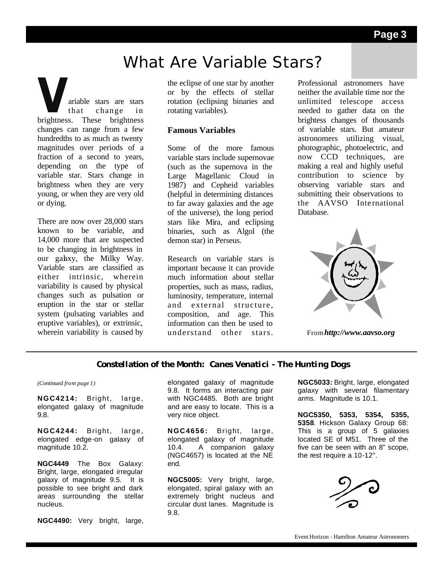## What Are Variable Stars?

**Variable stars are stars**<br>that change in<br>brightness. These brightness that change in changes can range from a few hundredths to as much as twenty magnitudes over periods of a fraction of a second to years, depending on the type of variable star. Stars change in brightness when they are very young, or when they are very old or dying.

There are now over 28,000 stars known to be variable, and 14,000 more that are suspected to be changing in brightness in our galaxy, the Milky Way. Variable stars are classified as either intrinsic, wherein variability is caused by physical changes such as pulsation or eruption in the star or stellar system (pulsating variables and eruptive variables), or extrinsic, wherein variability is caused by

the eclipse of one star by another or by the effects of stellar rotation (eclipsing binaries and rotating variables).

#### **Famous Variables**

Some of the more famous variable stars include supernovae (such as the supernova in the Large Magellanic Cloud in 1987) and Cepheid variables (helpful in determining distances to far away galaxies and the age of the universe), the long period stars like Mira, and eclipsing binaries, such as Algol (the demon star) in Perseus.

Research on variable stars is important because it can provide much information about stellar properties, such as mass, radius, luminosity, temperature, internal and external structure, composition, and age. This information can then be used to understand other stars.

Professional astronomers have neither the available time nor the unlimited telescope access needed to gather data on the brightess changes of thousands of variable stars. But amateur astronomers utilizing visual, photographic, photoelectric, and now CCD techniques, are making a real and highly useful contribution to science by observing variable stars and submitting their observations to the AAVSO Inte rnational Database.



From*http://www.aavso.org*

#### **Constellation of the Month: Canes Venatici - The Hunting Dogs**

*(Continued from page 1)*

**NGC4214:** Bright, large, elongated galaxy of magnitude 9.8.

**NGC4244:** Bright, large, elongated edge-on galaxy of magnitude 10.2.

**NGC4449** The Box Galaxy: Bright, large, elongated irregular galaxy of magnitude 9.5. It is possible to see bright and dark areas surrounding the stellar nucleus.

**NGC4490:** Very bright, large,

elongated galaxy of magnitude 9.8. It forms an interacting pair with NGC4485. Both are bright and are easy to locate. This is a very nice object.

**NGC4656:** Bright, large, elongated galaxy of magnitude 10.4. A companion galaxy (NGC4657) is located at the NE end.

**NGC5005:** Very bright, large, elongated, spiral galaxy with an extremely bright nucleus and circular dust lanes. Magnitude is 9.8.

**NGC5033:** Bright, large, elongated galaxy with several filamentary arms. Magnitude is 10.1.

**NGC5350, 5353, 5354, 5355, 5358**. Hickson Galaxy Group 68: This is a group of 5 galaxies located SE of M51. Three of the five can be seen with an 8" scope, the rest require a 10-12".



Event Horizon - Hamilton Amateur Astronomers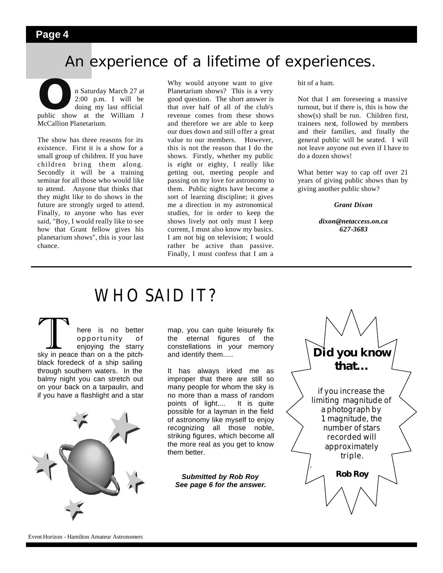## An experience of a lifetime of experiences.

**O**n Saturday March 27 at 2:00 p.m. I will be doing my last official public show at the William J 2:00 p.m. I will be doing my last official McCallion Planetarium.

The show has three reasons for its existence. First it is a show for a small group of children. If you have children bring them along. Secondly it will be a training seminar for all those who would like to attend. Anyone that thinks that they might like to do shows in the future are strongly urged to attend. Finally, to anyone who has ever said, "Boy, I would really like to see how that Grant fellow gives his planetarium shows", this is your last chance.

Why would anyone want to give Planetarium shows? This is a very good question. The short answer is that over half of all of the club's revenue comes from these shows and therefore we are able to keep our dues down and still offer a great value to our members. However, this is not the reason that I do the shows. Firstly, whether my public is eight or eighty, I really like getting out, meeting people and passing on my love for astronomy to them. Public nights have become a sort of learning discipline; it gives me a direction in my astronomical studies, for in order to keep the shows lively not only must I keep current, I must also know my basics. I am not big on television; I would rather be active than passive. Finally, I must confess that I am a

bit of a ham.

Not that I am foreseeing a massive turnout, but if there is, this is how the show(s) shall be run. Children first, trainees next, followed by members and their families, and finally the general public will be seated. I will not leave anyone out even if I have to do a dozen shows!

What better way to cap off over 21 years of giving public shows than by giving another public show?

*Grant Dixon*

*dixon@netaccess.on.ca 627-3683*

## WHO SAID IT?

There is no better<br>
opportunity of<br>
sky in peace than on a the pitchopportunity of enjoying the starry black foredeck of a ship sailing through southern waters. In the balmy night you can stretch out on your back on a tarpaulin, and if you have a flashlight and a star



map, you can quite leisurely fix the eternal figures of the constellations in your memory and identify them.....

It has always irked me as improper that there are still so many people for whom the sky is no more than a mass of random points of light.... It is quite possible for a layman in the field of astronomy like myself to enjoy recognizing all those noble, striking figures, which become all the more real as you get to know them better.

*Submitted by Rob Roy See page 6 for the answer.*

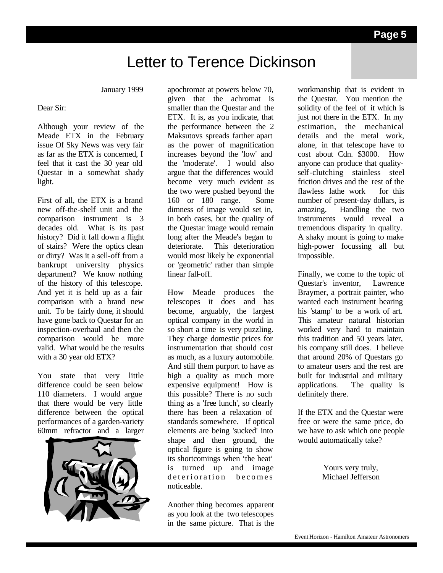## Letter to Terence Dickinson

January 1999

#### Dear Sir:

Although your review of the Meade ETX in the February issue Of Sky News was very fair as far as the ETX is concerned, I feel that it cast the 30 year old Questar in a somewhat shady light.

First of all, the ETX is a brand new off-the-shelf unit and the comparison instrument is 3 decades old. What is its past history? Did it fall down a flight of stairs? Were the optics clean or dirty? Was it a sell-off from a bankrupt university physics department? We know nothing of the history of this telescope. And yet it is held up as a fair comparison with a brand new unit. To be fairly done, it should have gone back to Questar for an inspection-overhaul and then the comparison would be more valid. What would be the results with a 30 year old ETX?

You state that very little difference could be seen below 110 diameters. I would argue that there would be very little difference between the optical performances of a garden-variety 60mm refractor and a larger



apochromat at powers below 70, given that the achromat is smaller than the Questar and the ETX. It is, as you indicate, that the performance between the 2 Maksutovs spreads farther apart as the power of magnification increases beyond the 'low' and the 'moderate'. I would also argue that the differences would become very much evident as the two were pushed beyond the 160 or 180 range. Some dimness of image would set in, in both cases, but the quality of the Questar image would remain long after the Meade's began to deteriorate. This deterioration would most likely be exponential or 'geometric' rather than simple linear fall-off.

How Meade produces the telescopes it does and has become, arguably, the largest optical company in the world in so short a time is very puzzling. They charge domestic prices for instrumentation that should cost as much, as a luxury automobile. And still them purport to have as high a quality as much more expensive equipment! How is this possible? There is no such thing as a 'free lunch', so clearly there has been a relaxation of standards somewhere.If optical elements are being 'sucked' into shape and then ground, the optical figure is going to show its shortcomings when 'the heat' is turned up and image deterioration becomes noticeable.

Another thing becomes apparent as you look at the two telescopes in the same picture. That is the workmanship that is evident in the Questar. You mention the solidity of the feel of it which is just not there in the ETX. In my estimation, the mechanical details and the metal work, alone, in that telescope have to cost about Cdn. \$3000. How anyone can produce that qualityself-clutching stainless steel friction drives and the rest of the flawless lathe work for this number of present-day dollars, is amazing. Handling the two instruments would reveal a tremendous disparity in quality. A shaky mount is going to make high-power focussing all but impossible.

Finally, we come to the topic of Questar's inventor, Lawrence Braymer, a portrait painter, who wanted each instrument bearing his 'stamp' to be a work of art. This amateur natural historian worked very hard to maintain this tradition and 50 years later, his company still does. I believe that around 20% of Questars go to amateur users and the rest are built for industrial and military applications. The quality is definitely there.

If the ETX and the Questar were free or were the same price, do we have to ask which one people would automatically take?

> Yours very truly, Michael Jefferson